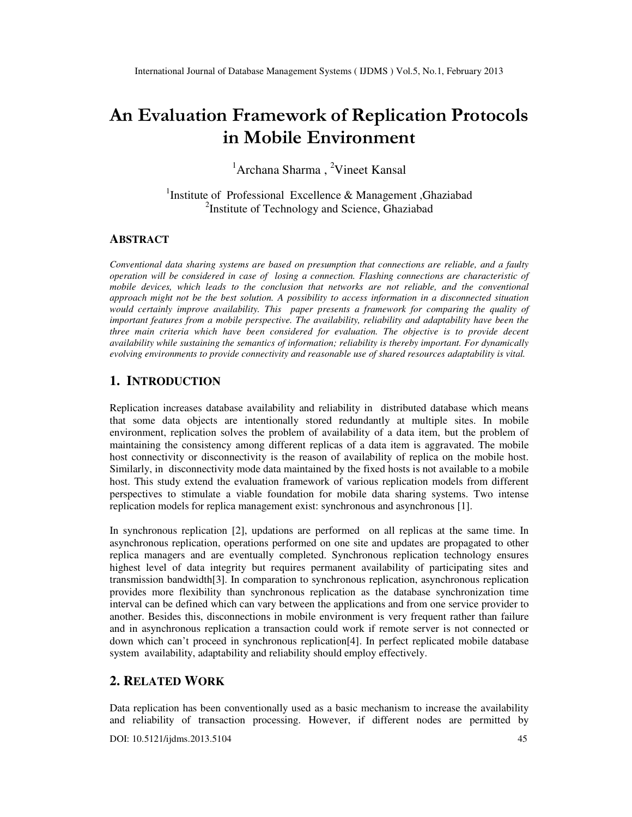# An Evaluation Framework of Replication Protocols in Mobile Environment

<sup>1</sup>Archana Sharma, <sup>2</sup>Vineet Kansal

<sup>1</sup>Institute of Professional Excellence & Management, Ghaziabad <sup>2</sup>Institute of Technology and Science, Ghaziabad

#### **ABSTRACT**

*Conventional data sharing systems are based on presumption that connections are reliable, and a faulty operation will be considered in case of losing a connection. Flashing connections are characteristic of*  mobile devices, which leads to the conclusion that networks are not reliable, and the conventional *approach might not be the best solution. A possibility to access information in a disconnected situation would certainly improve availability. This paper presents a framework for comparing the quality of important features from a mobile perspective. The availability, reliability and adaptability have been the three main criteria which have been considered for evaluation. The objective is to provide decent availability while sustaining the semantics of information; reliability is thereby important. For dynamically evolving environments to provide connectivity and reasonable use of shared resources adaptability is vital.*

#### **1. INTRODUCTION**

Replication increases database availability and reliability in distributed database which means that some data objects are intentionally stored redundantly at multiple sites. In mobile environment, replication solves the problem of availability of a data item, but the problem of maintaining the consistency among different replicas of a data item is aggravated. The mobile host connectivity or disconnectivity is the reason of availability of replica on the mobile host. Similarly, in disconnectivity mode data maintained by the fixed hosts is not available to a mobile host. This study extend the evaluation framework of various replication models from different perspectives to stimulate a viable foundation for mobile data sharing systems. Two intense replication models for replica management exist: synchronous and asynchronous [1].

In synchronous replication [2], updations are performed on all replicas at the same time. In asynchronous replication, operations performed on one site and updates are propagated to other replica managers and are eventually completed. Synchronous replication technology ensures highest level of data integrity but requires permanent availability of participating sites and transmission bandwidth[3]. In comparation to synchronous replication, asynchronous replication provides more flexibility than synchronous replication as the database synchronization time interval can be defined which can vary between the applications and from one service provider to another. Besides this, disconnections in mobile environment is very frequent rather than failure and in asynchronous replication a transaction could work if remote server is not connected or down which can't proceed in synchronous replication[4]. In perfect replicated mobile database system availability, adaptability and reliability should employ effectively.

# **2. RELATED WORK**

Data replication has been conventionally used as a basic mechanism to increase the availability and reliability of transaction processing. However, if different nodes are permitted by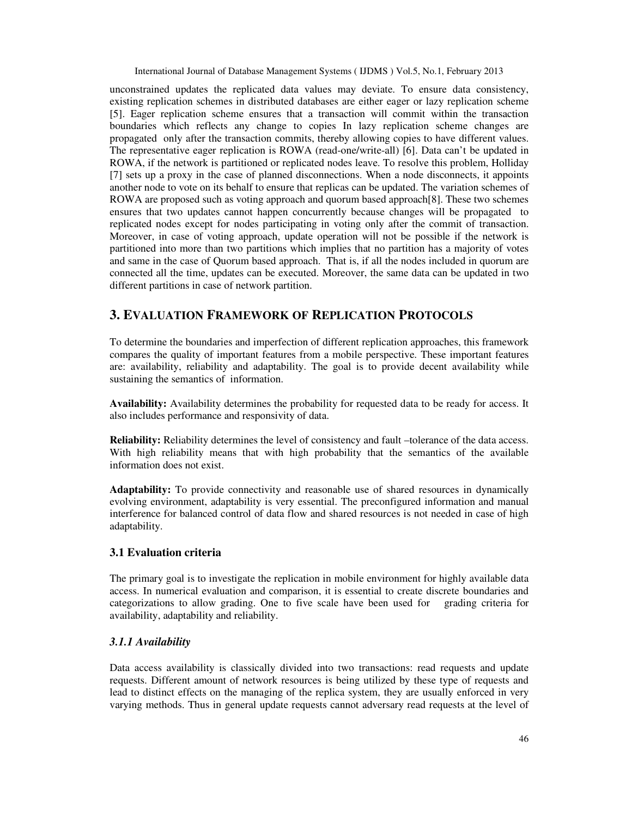unconstrained updates the replicated data values may deviate. To ensure data consistency, existing replication schemes in distributed databases are either eager or lazy replication scheme [5]. Eager replication scheme ensures that a transaction will commit within the transaction boundaries which reflects any change to copies In lazy replication scheme changes are propagated only after the transaction commits, thereby allowing copies to have different values. The representative eager replication is ROWA (read-one/write-all) [6]. Data can't be updated in ROWA, if the network is partitioned or replicated nodes leave. To resolve this problem, Holliday [7] sets up a proxy in the case of planned disconnections. When a node disconnects, it appoints another node to vote on its behalf to ensure that replicas can be updated. The variation schemes of ROWA are proposed such as voting approach and quorum based approach[8]. These two schemes ensures that two updates cannot happen concurrently because changes will be propagated to replicated nodes except for nodes participating in voting only after the commit of transaction. Moreover, in case of voting approach, update operation will not be possible if the network is partitioned into more than two partitions which implies that no partition has a majority of votes and same in the case of Quorum based approach. That is, if all the nodes included in quorum are connected all the time, updates can be executed. Moreover, the same data can be updated in two different partitions in case of network partition.

# **3. EVALUATION FRAMEWORK OF REPLICATION PROTOCOLS**

To determine the boundaries and imperfection of different replication approaches, this framework compares the quality of important features from a mobile perspective. These important features are: availability, reliability and adaptability. The goal is to provide decent availability while sustaining the semantics of information.

**Availability:** Availability determines the probability for requested data to be ready for access. It also includes performance and responsivity of data.

**Reliability:** Reliability determines the level of consistency and fault –tolerance of the data access. With high reliability means that with high probability that the semantics of the available information does not exist.

**Adaptability:** To provide connectivity and reasonable use of shared resources in dynamically evolving environment, adaptability is very essential. The preconfigured information and manual interference for balanced control of data flow and shared resources is not needed in case of high adaptability.

#### **3.1 Evaluation criteria**

The primary goal is to investigate the replication in mobile environment for highly available data access. In numerical evaluation and comparison, it is essential to create discrete boundaries and categorizations to allow grading. One to five scale have been used for grading criteria for availability, adaptability and reliability.

#### *3.1.1 Availability*

Data access availability is classically divided into two transactions: read requests and update requests. Different amount of network resources is being utilized by these type of requests and lead to distinct effects on the managing of the replica system, they are usually enforced in very varying methods. Thus in general update requests cannot adversary read requests at the level of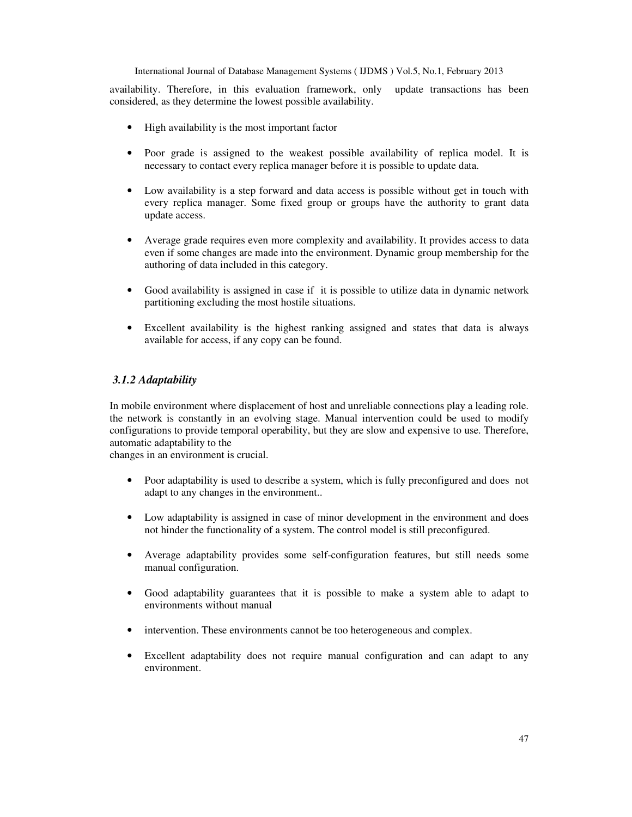availability. Therefore, in this evaluation framework, only update transactions has been considered, as they determine the lowest possible availability.

- High availability is the most important factor
- Poor grade is assigned to the weakest possible availability of replica model. It is necessary to contact every replica manager before it is possible to update data.
- Low availability is a step forward and data access is possible without get in touch with every replica manager. Some fixed group or groups have the authority to grant data update access.
- Average grade requires even more complexity and availability. It provides access to data even if some changes are made into the environment. Dynamic group membership for the authoring of data included in this category.
- Good availability is assigned in case if it is possible to utilize data in dynamic network partitioning excluding the most hostile situations.
- Excellent availability is the highest ranking assigned and states that data is always available for access, if any copy can be found.

#### *3.1.2 Adaptability*

In mobile environment where displacement of host and unreliable connections play a leading role. the network is constantly in an evolving stage. Manual intervention could be used to modify configurations to provide temporal operability, but they are slow and expensive to use. Therefore, automatic adaptability to the

changes in an environment is crucial.

- Poor adaptability is used to describe a system, which is fully preconfigured and does not adapt to any changes in the environment..
- Low adaptability is assigned in case of minor development in the environment and does not hinder the functionality of a system. The control model is still preconfigured.
- Average adaptability provides some self-configuration features, but still needs some manual configuration.
- Good adaptability guarantees that it is possible to make a system able to adapt to environments without manual
- intervention. These environments cannot be too heterogeneous and complex.
- Excellent adaptability does not require manual configuration and can adapt to any environment.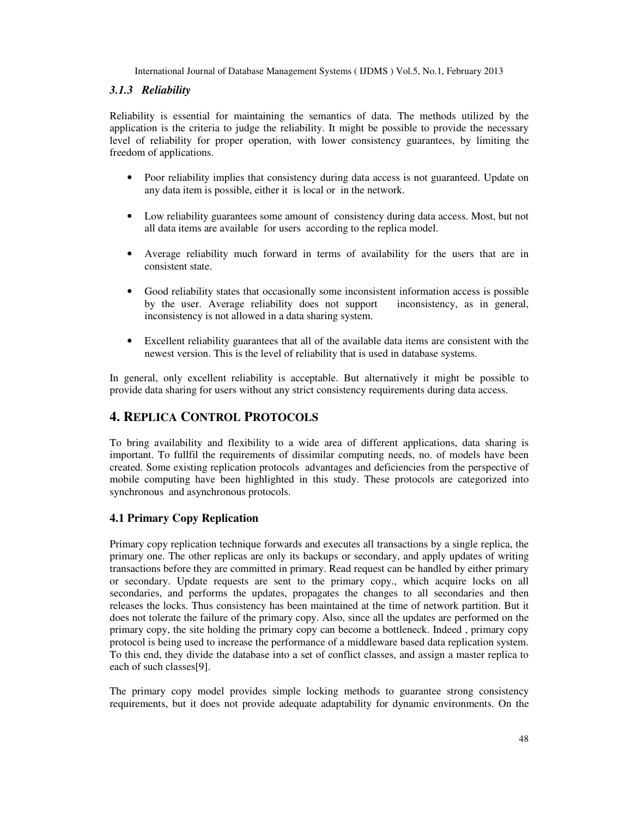#### *3.1.3 Reliability*

Reliability is essential for maintaining the semantics of data. The methods utilized by the application is the criteria to judge the reliability. It might be possible to provide the necessary level of reliability for proper operation, with lower consistency guarantees, by limiting the freedom of applications.

- Poor reliability implies that consistency during data access is not guaranteed. Update on any data item is possible, either it is local or in the network.
- Low reliability guarantees some amount of consistency during data access. Most, but not all data items are available for users according to the replica model.
- Average reliability much forward in terms of availability for the users that are in consistent state.
- Good reliability states that occasionally some inconsistent information access is possible by the user. Average reliability does not support inconsistency, as in general, inconsistency is not allowed in a data sharing system.
- Excellent reliability guarantees that all of the available data items are consistent with the newest version. This is the level of reliability that is used in database systems.

In general, only excellent reliability is acceptable. But alternatively it might be possible to provide data sharing for users without any strict consistency requirements during data access.

# **4. REPLICA CONTROL PROTOCOLS**

To bring availability and flexibility to a wide area of different applications, data sharing is important. To fullfil the requirements of dissimilar computing needs, no. of models have been created. Some existing replication protocols advantages and deficiencies from the perspective of mobile computing have been highlighted in this study. These protocols are categorized into synchronous and asynchronous protocols.

## **4.1 Primary Copy Replication**

Primary copy replication technique forwards and executes all transactions by a single replica, the primary one. The other replicas are only its backups or secondary, and apply updates of writing transactions before they are committed in primary. Read request can be handled by either primary or secondary. Update requests are sent to the primary copy., which acquire locks on all secondaries, and performs the updates, propagates the changes to all secondaries and then releases the locks. Thus consistency has been maintained at the time of network partition. But it does not tolerate the failure of the primary copy. Also, since all the updates are performed on the primary copy, the site holding the primary copy can become a bottleneck. Indeed , primary copy protocol is being used to increase the performance of a middleware based data replication system. To this end, they divide the database into a set of conflict classes, and assign a master replica to each of such classes[9].

The primary copy model provides simple locking methods to guarantee strong consistency requirements, but it does not provide adequate adaptability for dynamic environments. On the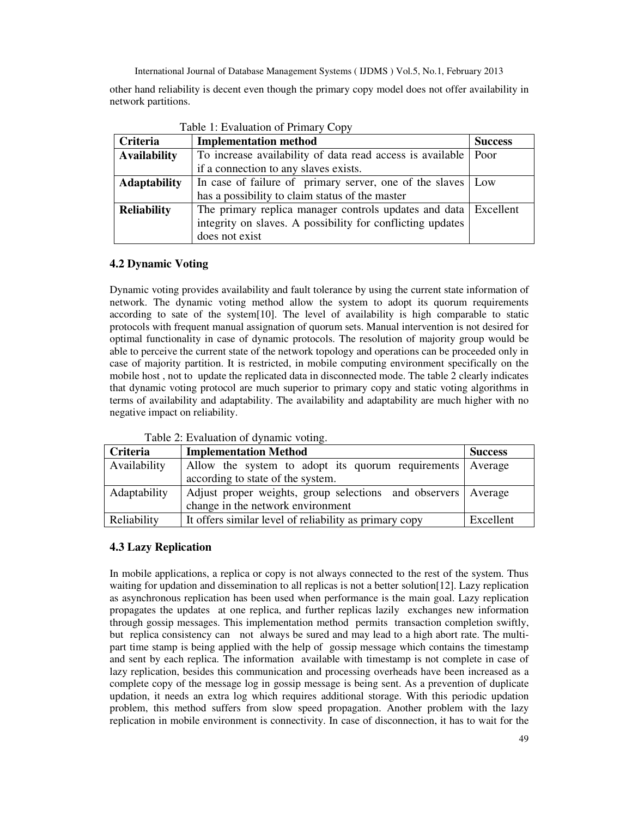other hand reliability is decent even though the primary copy model does not offer availability in network partitions.

| Table 1: Evaluation of Primary Copy |                                                                  |                |  |
|-------------------------------------|------------------------------------------------------------------|----------------|--|
| Criteria                            | <b>Implementation method</b>                                     | <b>Success</b> |  |
| <b>Availability</b>                 | To increase availability of data read access is available   Poor |                |  |
|                                     | if a connection to any slaves exists.                            |                |  |
| <b>Adaptability</b>                 | In case of failure of primary server, one of the slaves   Low    |                |  |
|                                     | has a possibility to claim status of the master                  |                |  |
| <b>Reliability</b>                  | The primary replica manager controls updates and data Excellent  |                |  |
|                                     | integrity on slaves. A possibility for conflicting updates       |                |  |
|                                     | does not exist                                                   |                |  |

## **4.2 Dynamic Voting**

Dynamic voting provides availability and fault tolerance by using the current state information of network. The dynamic voting method allow the system to adopt its quorum requirements according to sate of the system[10]. The level of availability is high comparable to static protocols with frequent manual assignation of quorum sets. Manual intervention is not desired for optimal functionality in case of dynamic protocols. The resolution of majority group would be able to perceive the current state of the network topology and operations can be proceeded only in case of majority partition. It is restricted, in mobile computing environment specifically on the mobile host , not to update the replicated data in disconnected mode. The table 2 clearly indicates that dynamic voting protocol are much superior to primary copy and static voting algorithms in terms of availability and adaptability. The availability and adaptability are much higher with no negative impact on reliability.

| racio $\omega$ . Evaluation or $\alpha$ manner volume. |              |                                                                 |                |
|--------------------------------------------------------|--------------|-----------------------------------------------------------------|----------------|
|                                                        | Criteria     | <b>Implementation Method</b>                                    | <b>Success</b> |
|                                                        | Availability | Allow the system to adopt its quorum requirements Average       |                |
|                                                        |              | according to state of the system.                               |                |
|                                                        | Adaptability | Adjust proper weights, group selections and observers   Average |                |
|                                                        |              | change in the network environment                               |                |
|                                                        | Reliability  | It offers similar level of reliability as primary copy          | Excellent      |

Table 2: Evaluation of dynamic voting.

## **4.3 Lazy Replication**

In mobile applications, a replica or copy is not always connected to the rest of the system. Thus waiting for updation and dissemination to all replicas is not a better solution[12]. Lazy replication as asynchronous replication has been used when performance is the main goal. Lazy replication propagates the updates at one replica, and further replicas lazily exchanges new information through gossip messages. This implementation method permits transaction completion swiftly, but replica consistency can not always be sured and may lead to a high abort rate. The multipart time stamp is being applied with the help of gossip message which contains the timestamp and sent by each replica. The information available with timestamp is not complete in case of lazy replication, besides this communication and processing overheads have been increased as a complete copy of the message log in gossip message is being sent. As a prevention of duplicate updation, it needs an extra log which requires additional storage. With this periodic updation problem, this method suffers from slow speed propagation. Another problem with the lazy replication in mobile environment is connectivity. In case of disconnection, it has to wait for the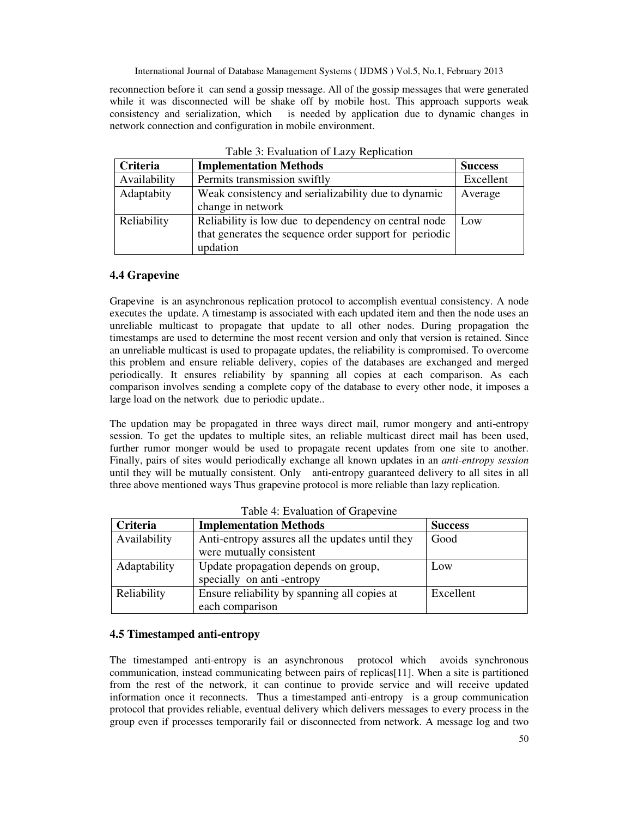reconnection before it can send a gossip message. All of the gossip messages that were generated while it was disconnected will be shake off by mobile host. This approach supports weak consistency and serialization, which is needed by application due to dynamic changes in network connection and configuration in mobile environment.

| Criteria     | <b>Implementation Methods</b>                          | <b>Success</b> |
|--------------|--------------------------------------------------------|----------------|
| Availability | Permits transmission swiftly                           | Excellent      |
| Adaptabity   | Weak consistency and serializability due to dynamic    | Average        |
|              | change in network                                      |                |
| Reliability  | Reliability is low due to dependency on central node   | Low            |
|              | that generates the sequence order support for periodic |                |
|              | updation                                               |                |

Table 3: Evaluation of Lazy Replication

#### **4.4 Grapevine**

Grapevine is an asynchronous replication protocol to accomplish eventual consistency. A node executes the update. A timestamp is associated with each updated item and then the node uses an unreliable multicast to propagate that update to all other nodes. During propagation the timestamps are used to determine the most recent version and only that version is retained. Since an unreliable multicast is used to propagate updates, the reliability is compromised. To overcome this problem and ensure reliable delivery, copies of the databases are exchanged and merged periodically. It ensures reliability by spanning all copies at each comparison. As each comparison involves sending a complete copy of the database to every other node, it imposes a large load on the network due to periodic update..

The updation may be propagated in three ways direct mail, rumor mongery and anti-entropy session. To get the updates to multiple sites, an reliable multicast direct mail has been used, further rumor monger would be used to propagate recent updates from one site to another. Finally, pairs of sites would periodically exchange all known updates in an *anti-entropy session*  until they will be mutually consistent. Only anti-entropy guaranteed delivery to all sites in all three above mentioned ways Thus grapevine protocol is more reliable than lazy replication.

| <b>Criteria</b> | <b>Implementation Methods</b>                   | <b>Success</b> |
|-----------------|-------------------------------------------------|----------------|
| Availability    | Anti-entropy assures all the updates until they | Good           |
|                 | were mutually consistent                        |                |
| Adaptability    | Update propagation depends on group,            | Low            |
|                 | specially on anti-entropy                       |                |
| Reliability     | Ensure reliability by spanning all copies at    | Excellent      |
|                 | each comparison                                 |                |

Table 4: Evaluation of Grapevine

#### **4.5 Timestamped anti-entropy**

The timestamped anti-entropy is an asynchronous protocol which avoids synchronous communication, instead communicating between pairs of replicas[11]. When a site is partitioned from the rest of the network, it can continue to provide service and will receive updated information once it reconnects. Thus a timestamped anti-entropy is a group communication protocol that provides reliable, eventual delivery which delivers messages to every process in the group even if processes temporarily fail or disconnected from network. A message log and two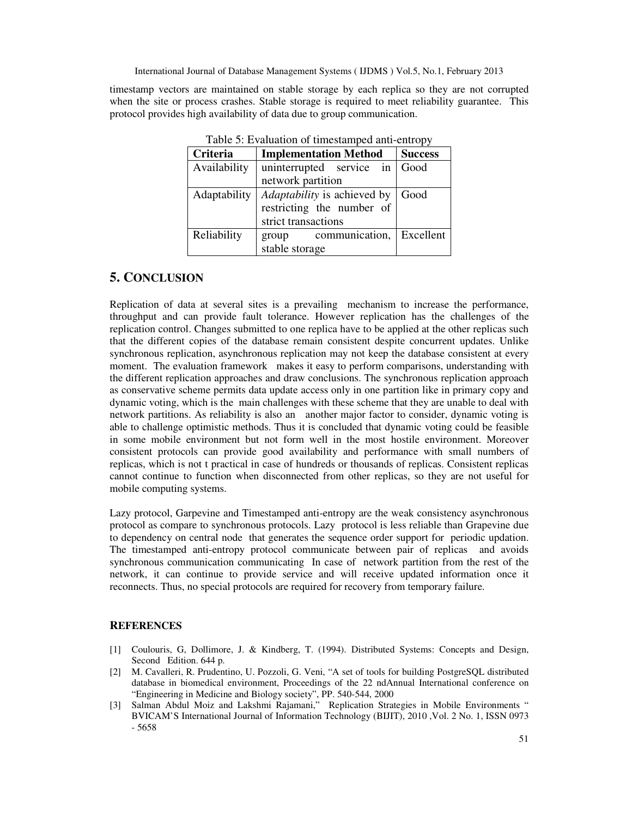timestamp vectors are maintained on stable storage by each replica so they are not corrupted when the site or process crashes. Stable storage is required to meet reliability guarantee. This protocol provides high availability of data due to group communication.

| raone $\sigma$ . Evaluation or unlocating of any entropy |                              |                |
|----------------------------------------------------------|------------------------------|----------------|
| Criteria                                                 | <b>Implementation Method</b> | <b>Success</b> |
| Availability                                             | uninterrupted service in     | Good           |
|                                                          | network partition            |                |
| Adaptability                                             | Adaptability is achieved by  | Good           |
|                                                          | restricting the number of    |                |
|                                                          | strict transactions          |                |
| Reliability                                              | communication,<br>group      | Excellent      |
|                                                          | stable storage               |                |

Table  $5$ : Evaluation of timestamped anti-entropy

## **5. CONCLUSION**

Replication of data at several sites is a prevailing mechanism to increase the performance, throughput and can provide fault tolerance. However replication has the challenges of the replication control. Changes submitted to one replica have to be applied at the other replicas such that the different copies of the database remain consistent despite concurrent updates. Unlike synchronous replication, asynchronous replication may not keep the database consistent at every moment. The evaluation framework makes it easy to perform comparisons, understanding with the different replication approaches and draw conclusions. The synchronous replication approach as conservative scheme permits data update access only in one partition like in primary copy and dynamic voting, which is the main challenges with these scheme that they are unable to deal with network partitions. As reliability is also an another major factor to consider, dynamic voting is able to challenge optimistic methods. Thus it is concluded that dynamic voting could be feasible in some mobile environment but not form well in the most hostile environment. Moreover consistent protocols can provide good availability and performance with small numbers of replicas, which is not t practical in case of hundreds or thousands of replicas. Consistent replicas cannot continue to function when disconnected from other replicas, so they are not useful for mobile computing systems.

Lazy protocol, Garpevine and Timestamped anti-entropy are the weak consistency asynchronous protocol as compare to synchronous protocols. Lazy protocol is less reliable than Grapevine due to dependency on central node that generates the sequence order support for periodic updation. The timestamped anti-entropy protocol communicate between pair of replicas and avoids synchronous communication communicating In case of network partition from the rest of the network, it can continue to provide service and will receive updated information once it reconnects. Thus, no special protocols are required for recovery from temporary failure.

#### **REFERENCES**

- [1] Coulouris, G, Dollimore, J. & Kindberg, T. (1994). Distributed Systems: Concepts and Design, Second Edition. 644 p.
- [2] M. Cavalleri, R. Prudentino, U. Pozzoli, G. Veni, "A set of tools for building PostgreSQL distributed database in biomedical environment, Proceedings of the 22 ndAnnual International conference on "Engineering in Medicine and Biology society", PP. 540-544, 2000
- [3] Salman Abdul Moiz and Lakshmi Rajamani," Replication Strategies in Mobile Environments " BVICAM'S International Journal of Information Technology (BIJIT), 2010 ,Vol. 2 No. 1, ISSN 0973 - 5658